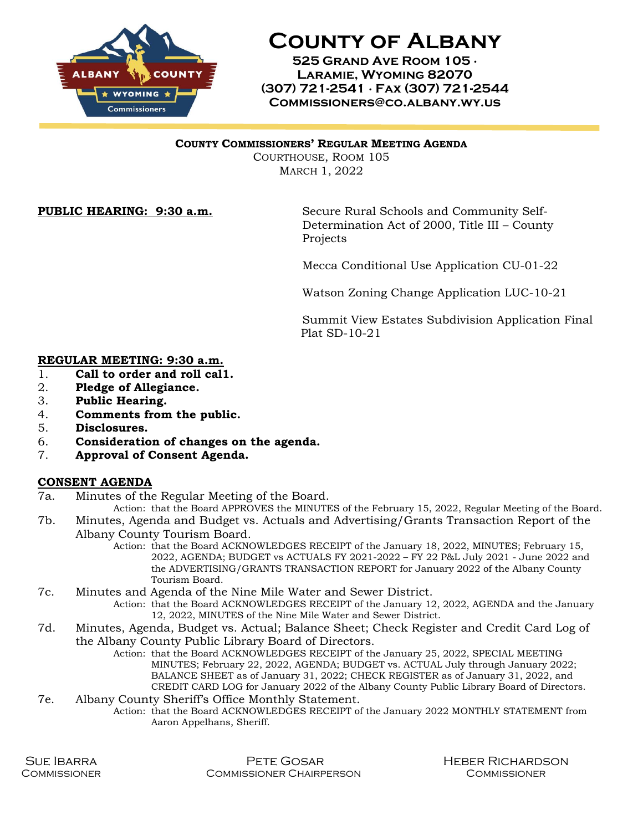

**County of Albany**

**525 Grand Ave Room 105 ∙ Laramie, Wyoming 82070 (307) 721-2541 ∙ Fax (307) 721-2544 Commissioners@co.albany.wy.us**

## **COUNTY COMMISSIONERS' REGULAR MEETING AGENDA**

COURTHOUSE, ROOM 105 MARCH 1, 2022

**PUBLIC HEARING: 9:30 a.m.** Secure Rural Schools and Community Self-Determination Act of 2000, Title III – County **Projects** 

Mecca Conditional Use Application CU-01-22

Watson Zoning Change Application LUC-10-21

Summit View Estates Subdivision Application Final Plat SD-10-21

## **REGULAR MEETING: 9:30 a.m.**

- 1. **Call to order and roll cal1.**
- 2. **Pledge of Allegiance.**
- 3. **Public Hearing.**
- 4. **Comments from the public.**
- 5. **Disclosures.**
- 6. **Consideration of changes on the agenda.**
- 7. **Approval of Consent Agenda.**

## **CONSENT AGENDA**

7a. Minutes of the Regular Meeting of the Board.

Action: that the Board APPROVES the MINUTES of the February 15, 2022, Regular Meeting of the Board. 7b. Minutes, Agenda and Budget vs. Actuals and Advertising/Grants Transaction Report of the

- Albany County Tourism Board.
	- Action: that the Board ACKNOWLEDGES RECEIPT of the January 18, 2022, MINUTES; February 15, 2022, AGENDA; BUDGET vs ACTUALS FY 2021-2022 – FY 22 P&L July 2021 - June 2022 and the ADVERTISING/GRANTS TRANSACTION REPORT for January 2022 of the Albany County Tourism Board.
- 7c. Minutes and Agenda of the Nine Mile Water and Sewer District. Action: that the Board ACKNOWLEDGES RECEIPT of the January 12, 2022, AGENDA and the January 12, 2022, MINUTES of the Nine Mile Water and Sewer District.
- 7d. Minutes, Agenda, Budget vs. Actual; Balance Sheet; Check Register and Credit Card Log of the Albany County Public Library Board of Directors.

Action: that the Board ACKNOWLEDGES RECEIPT of the January 25, 2022, SPECIAL MEETING MINUTES; February 22, 2022, AGENDA; BUDGET vs. ACTUAL July through January 2022; BALANCE SHEET as of January 31, 2022; CHECK REGISTER as of January 31, 2022, and CREDIT CARD LOG for January 2022 of the Albany County Public Library Board of Directors.

7e. Albany County Sheriff's Office Monthly Statement. Action: that the Board ACKNOWLEDGES RECEIPT of the January 2022 MONTHLY STATEMENT from Aaron Appelhans, Sheriff.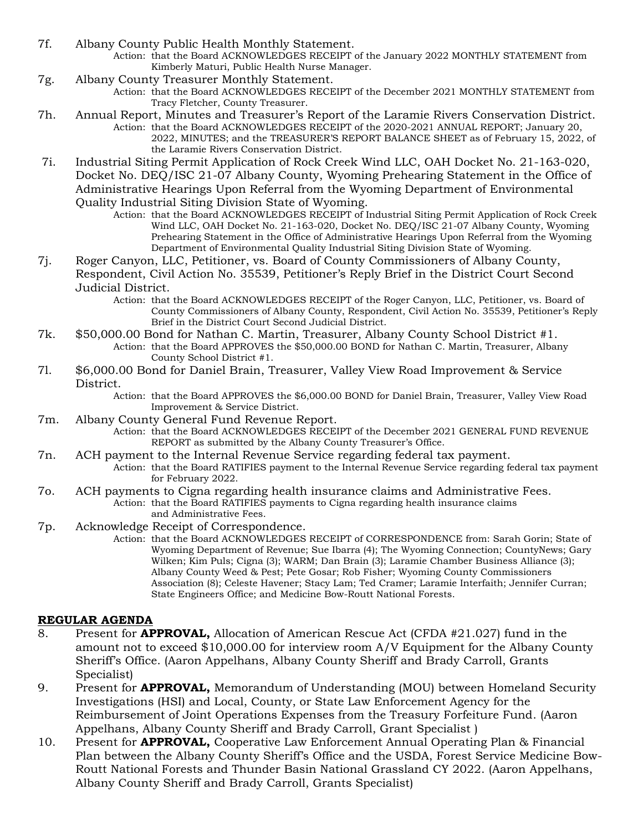- 7f. Albany County Public Health Monthly Statement. Action: that the Board ACKNOWLEDGES RECEIPT of the January 2022 MONTHLY STATEMENT from Kimberly Maturi, Public Health Nurse Manager.
- 7g. Albany County Treasurer Monthly Statement.
	- Action: that the Board ACKNOWLEDGES RECEIPT of the December 2021 MONTHLY STATEMENT from Tracy Fletcher, County Treasurer.
- 7h. Annual Report, Minutes and Treasurer's Report of the Laramie Rivers Conservation District. Action: that the Board ACKNOWLEDGES RECEIPT of the 2020-2021 ANNUAL REPORT; January 20, 2022, MINUTES; and the TREASURER'S REPORT BALANCE SHEET as of February 15, 2022, of the Laramie Rivers Conservation District.
- 7i. Industrial Siting Permit Application of Rock Creek Wind LLC, OAH Docket No. 21-163-020, Docket No. DEQ/ISC 21-07 Albany County, Wyoming Prehearing Statement in the Office of Administrative Hearings Upon Referral from the Wyoming Department of Environmental Quality Industrial Siting Division State of Wyoming.
	- Action: that the Board ACKNOWLEDGES RECEIPT of Industrial Siting Permit Application of Rock Creek Wind LLC, OAH Docket No. 21-163-020, Docket No. DEQ/ISC 21-07 Albany County, Wyoming Prehearing Statement in the Office of Administrative Hearings Upon Referral from the Wyoming Department of Environmental Quality Industrial Siting Division State of Wyoming.
- 7j. Roger Canyon, LLC, Petitioner, vs. Board of County Commissioners of Albany County, Respondent, Civil Action No. 35539, Petitioner's Reply Brief in the District Court Second Judicial District.
	- Action: that the Board ACKNOWLEDGES RECEIPT of the Roger Canyon, LLC, Petitioner, vs. Board of County Commissioners of Albany County, Respondent, Civil Action No. 35539, Petitioner's Reply Brief in the District Court Second Judicial District.
- 7k. \$50,000.00 Bond for Nathan C. Martin, Treasurer, Albany County School District #1. Action: that the Board APPROVES the \$50,000.00 BOND for Nathan C. Martin, Treasurer, Albany County School District #1.
- 7l. \$6,000.00 Bond for Daniel Brain, Treasurer, Valley View Road Improvement & Service District.
	- Action: that the Board APPROVES the \$6,000.00 BOND for Daniel Brain, Treasurer, Valley View Road Improvement & Service District.
- 7m. Albany County General Fund Revenue Report.
	- Action: that the Board ACKNOWLEDGES RECEIPT of the December 2021 GENERAL FUND REVENUE REPORT as submitted by the Albany County Treasurer's Office.
- 7n. ACH payment to the Internal Revenue Service regarding federal tax payment. Action: that the Board RATIFIES payment to the Internal Revenue Service regarding federal tax payment for February 2022.
- 7o. ACH payments to Cigna regarding health insurance claims and Administrative Fees. Action: that the Board RATIFIES payments to Cigna regarding health insurance claims and Administrative Fees.
- 7p. Acknowledge Receipt of Correspondence.

Action: that the Board ACKNOWLEDGES RECEIPT of CORRESPONDENCE from: Sarah Gorin; State of Wyoming Department of Revenue; Sue Ibarra (4); The Wyoming Connection; CountyNews; Gary Wilken; Kim Puls; Cigna (3); WARM; Dan Brain (3); Laramie Chamber Business Alliance (3); Albany County Weed & Pest; Pete Gosar; Rob Fisher; Wyoming County Commissioners Association (8); Celeste Havener; Stacy Lam; Ted Cramer; Laramie Interfaith; Jennifer Curran; State Engineers Office; and Medicine Bow-Routt National Forests.

## **REGULAR AGENDA**

- 8. Present for **APPROVAL,** Allocation of American Rescue Act (CFDA #21.027) fund in the amount not to exceed \$10,000.00 for interview room A/V Equipment for the Albany County Sheriff's Office. (Aaron Appelhans, Albany County Sheriff and Brady Carroll, Grants Specialist)
- 9. Present for **APPROVAL,** Memorandum of Understanding (MOU) between Homeland Security Investigations (HSI) and Local, County, or State Law Enforcement Agency for the Reimbursement of Joint Operations Expenses from the Treasury Forfeiture Fund. (Aaron Appelhans, Albany County Sheriff and Brady Carroll, Grant Specialist )
- 10. Present for **APPROVAL,** Cooperative Law Enforcement Annual Operating Plan & Financial Plan between the Albany County Sheriff's Office and the USDA, Forest Service Medicine Bow-Routt National Forests and Thunder Basin National Grassland CY 2022. (Aaron Appelhans, Albany County Sheriff and Brady Carroll, Grants Specialist)